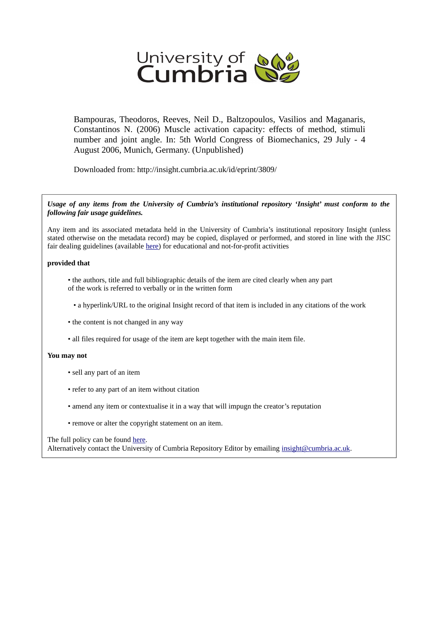

Bampouras, Theodoros, Reeves, Neil D., Baltzopoulos, Vasilios and Maganaris, Constantinos N. (2006) Muscle activation capacity: effects of method, stimuli number and joint angle. In: 5th World Congress of Biomechanics, 29 July - 4 August 2006, Munich, Germany. (Unpublished)

Downloaded from: http://insight.cumbria.ac.uk/id/eprint/3809/

*Usage of any items from the University of Cumbria's institutional repository 'Insight' must conform to the following fair usage guidelines.*

Any item and its associated metadata held in the University of Cumbria's institutional repository Insight (unless stated otherwise on the metadata record) may be copied, displayed or performed, and stored in line with the JISC fair dealing guidelines (available [here\)](http://www.ukoln.ac.uk/services/elib/papers/pa/fair/) for educational and not-for-profit activities

## **provided that**

• the authors, title and full bibliographic details of the item are cited clearly when any part of the work is referred to verbally or in the written form

• a hyperlink/URL to the original Insight record of that item is included in any citations of the work

- the content is not changed in any way
- all files required for usage of the item are kept together with the main item file.

## **You may not**

- sell any part of an item
- refer to any part of an item without citation
- amend any item or contextualise it in a way that will impugn the creator's reputation
- remove or alter the copyright statement on an item.

## The full policy can be found [here.](http://insight.cumbria.ac.uk/legal.html#section5)

Alternatively contact the University of Cumbria Repository Editor by emailing [insight@cumbria.ac.uk.](mailto:insight@cumbria.ac.uk)